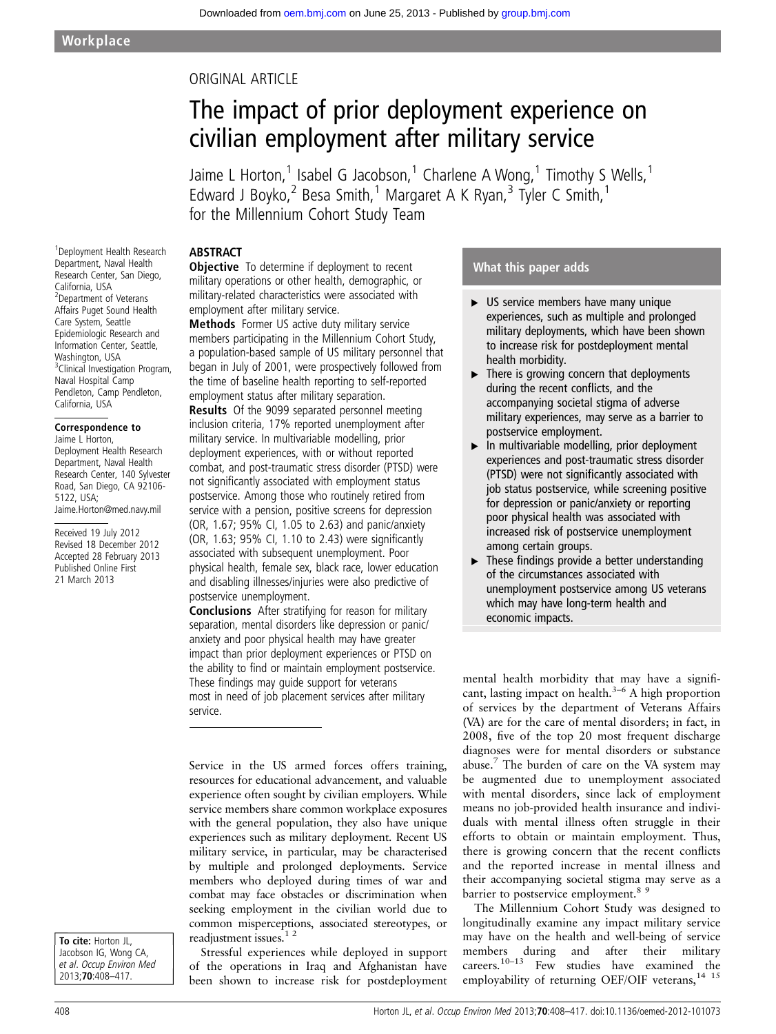### ORIGINAL ARTICLE

# The impact of prior deployment experience on civilian employment after military service

Jaime L Horton,<sup>1</sup> Isabel G Jacobson,<sup>1</sup> Charlene A Wong,<sup>1</sup> Timothy S Wells,<sup>1</sup> Edward J Boyko,  $2^2$  Besa Smith,  $1^1$  Margaret A K Ryan,  $3^3$  Tyler C Smith,  $1^1$ for the Millennium Cohort Study Team

#### **ARSTRACT**

**Objective** To determine if deployment to recent military operations or other health, demographic, or military-related characteristics were associated with employment after military service. Methods Former US active duty military service

members participating in the Millennium Cohort Study, a population-based sample of US military personnel that began in July of 2001, were prospectively followed from the time of baseline health reporting to self-reported employment status after military separation.

Results Of the 9099 separated personnel meeting inclusion criteria, 17% reported unemployment after military service. In multivariable modelling, prior deployment experiences, with or without reported combat, and post-traumatic stress disorder (PTSD) were not significantly associated with employment status postservice. Among those who routinely retired from service with a pension, positive screens for depression (OR, 1.67; 95% CI, 1.05 to 2.63) and panic/anxiety (OR, 1.63; 95% CI, 1.10 to 2.43) were significantly associated with subsequent unemployment. Poor physical health, female sex, black race, lower education and disabling illnesses/injuries were also predictive of postservice unemployment.

Conclusions After stratifying for reason for military separation, mental disorders like depression or panic/ anxiety and poor physical health may have greater impact than prior deployment experiences or PTSD on the ability to find or maintain employment postservice. These findings may guide support for veterans most in need of job placement services after military service.

Service in the US armed forces offers training, resources for educational advancement, and valuable experience often sought by civilian employers. While service members share common workplace exposures with the general population, they also have unique experiences such as military deployment. Recent US military service, in particular, may be characterised by multiple and prolonged deployments. Service members who deployed during times of war and combat may face obstacles or discrimination when seeking employment in the civilian world due to common misperceptions, associated stereotypes, or readjustment issues.1 2

Stressful experiences while deployed in support of the operations in Iraq and Afghanistan have been shown to increase risk for postdeployment

#### What this paper adds

- ▸ US service members have many unique experiences, such as multiple and prolonged military deployments, which have been shown to increase risk for postdeployment mental health morbidity.
- ▸ There is growing concern that deployments during the recent conflicts, and the accompanying societal stigma of adverse military experiences, may serve as a barrier to postservice employment.
- ▸ In multivariable modelling, prior deployment experiences and post-traumatic stress disorder (PTSD) were not significantly associated with job status postservice, while screening positive for depression or panic/anxiety or reporting poor physical health was associated with increased risk of postservice unemployment among certain groups.
- $\blacktriangleright$  These findings provide a better understanding of the circumstances associated with unemployment postservice among US veterans which may have long-term health and economic impacts.

mental health morbidity that may have a significant, lasting impact on health.<sup>3–6</sup> A high proportion of services by the department of Veterans Affairs (VA) are for the care of mental disorders; in fact, in 2008, five of the top 20 most frequent discharge diagnoses were for mental disorders or substance abuse.7 The burden of care on the VA system may be augmented due to unemployment associated with mental disorders, since lack of employment means no job-provided health insurance and individuals with mental illness often struggle in their efforts to obtain or maintain employment. Thus, there is growing concern that the recent conflicts and the reported increase in mental illness and their accompanying societal stigma may serve as a barrier to postservice employment.<sup>85</sup>

The Millennium Cohort Study was designed to longitudinally examine any impact military service may have on the health and well-being of service members during and after their military careers.<sup>10–13</sup> Few studies have examined the employability of returning OEF/OIF veterans,<sup>14 15</sup>

1 Deployment Health Research Department, Naval Health Research Center, San Diego, California, USA 2 Department of Veterans Affairs Puget Sound Health Care System, Seattle Epidemiologic Research and Information Center, Seattle, Washington, USA <sup>3</sup> Clinical Investigation Program, Naval Hospital Camp Pendleton, Camp Pendleton, California, USA

#### Correspondence to Jaime L Horton,

Deployment Health Research Department, Naval Health Research Center, 140 Sylvester Road, San Diego, CA 92106- 5122, USA; Jaime.Horton@med.navy.mil

Received 19 July 2012 Revised 18 December 2012 Accepted 28 February 2013 Published Online First 21 March 2013

To cite: Horton JL, Jacobson IG, Wong CA, et al. Occup Environ Med 2013;70:408–417.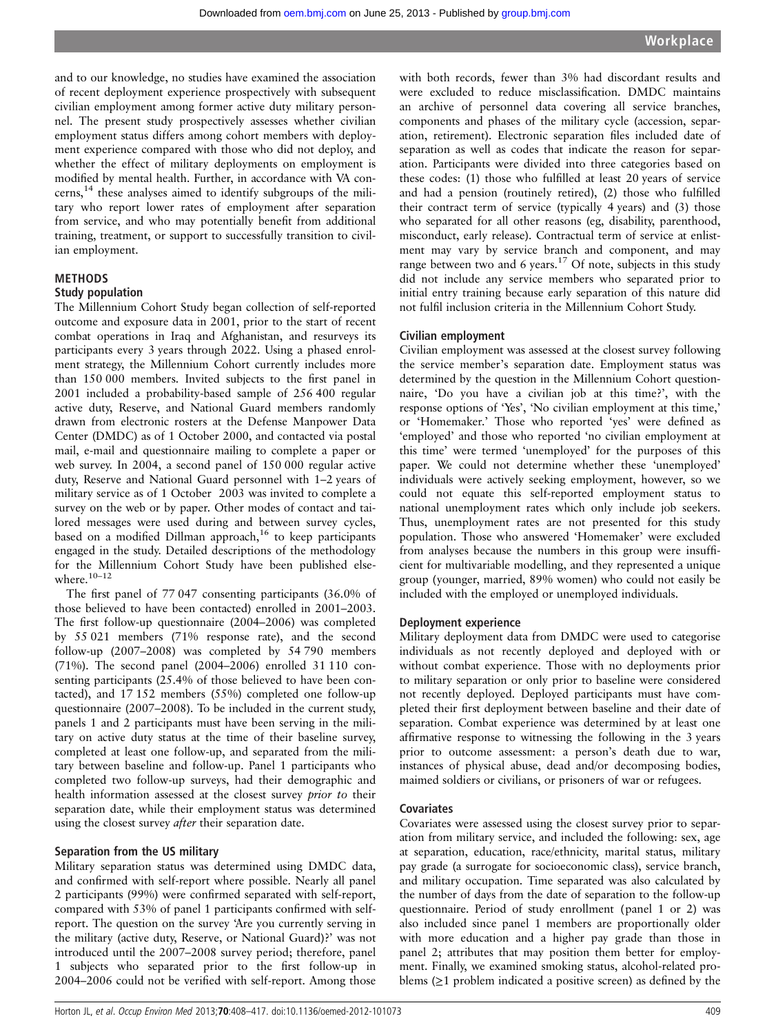and to our knowledge, no studies have examined the association of recent deployment experience prospectively with subsequent civilian employment among former active duty military personnel. The present study prospectively assesses whether civilian employment status differs among cohort members with deployment experience compared with those who did not deploy, and whether the effect of military deployments on employment is modified by mental health. Further, in accordance with VA concerns,14 these analyses aimed to identify subgroups of the military who report lower rates of employment after separation from service, and who may potentially benefit from additional training, treatment, or support to successfully transition to civilian employment.

#### METHODS

#### Study population

The Millennium Cohort Study began collection of self-reported outcome and exposure data in 2001, prior to the start of recent combat operations in Iraq and Afghanistan, and resurveys its participants every 3 years through 2022. Using a phased enrolment strategy, the Millennium Cohort currently includes more than 150 000 members. Invited subjects to the first panel in 2001 included a probability-based sample of 256 400 regular active duty, Reserve, and National Guard members randomly drawn from electronic rosters at the Defense Manpower Data Center (DMDC) as of 1 October 2000, and contacted via postal mail, e-mail and questionnaire mailing to complete a paper or web survey. In 2004, a second panel of 150 000 regular active duty, Reserve and National Guard personnel with 1–2 years of military service as of 1 October 2003 was invited to complete a survey on the web or by paper. Other modes of contact and tailored messages were used during and between survey cycles, based on a modified Dillman approach,<sup>16</sup> to keep participants engaged in the study. Detailed descriptions of the methodology for the Millennium Cohort Study have been published elsewhere. $10-12$ 

The first panel of 77 047 consenting participants (36.0% of those believed to have been contacted) enrolled in 2001–2003. The first follow-up questionnaire (2004–2006) was completed by 55 021 members (71% response rate), and the second follow-up (2007–2008) was completed by 54 790 members (71%). The second panel (2004–2006) enrolled 31 110 consenting participants (25.4% of those believed to have been contacted), and 17 152 members (55%) completed one follow-up questionnaire (2007–2008). To be included in the current study, panels 1 and 2 participants must have been serving in the military on active duty status at the time of their baseline survey, completed at least one follow-up, and separated from the military between baseline and follow-up. Panel 1 participants who completed two follow-up surveys, had their demographic and health information assessed at the closest survey prior to their separation date, while their employment status was determined using the closest survey *after* their separation date.

#### Separation from the US military

Military separation status was determined using DMDC data, and confirmed with self-report where possible. Nearly all panel 2 participants (99%) were confirmed separated with self-report, compared with 53% of panel 1 participants confirmed with selfreport. The question on the survey 'Are you currently serving in the military (active duty, Reserve, or National Guard)?' was not introduced until the 2007–2008 survey period; therefore, panel 1 subjects who separated prior to the first follow-up in 2004–2006 could not be verified with self-report. Among those

with both records, fewer than 3% had discordant results and were excluded to reduce misclassification. DMDC maintains an archive of personnel data covering all service branches, components and phases of the military cycle (accession, separation, retirement). Electronic separation files included date of separation as well as codes that indicate the reason for separation. Participants were divided into three categories based on these codes: (1) those who fulfilled at least 20 years of service and had a pension (routinely retired), (2) those who fulfilled their contract term of service (typically 4 years) and (3) those who separated for all other reasons (eg, disability, parenthood, misconduct, early release). Contractual term of service at enlistment may vary by service branch and component, and may range between two and 6 years.<sup>17</sup> Of note, subjects in this study did not include any service members who separated prior to initial entry training because early separation of this nature did not fulfil inclusion criteria in the Millennium Cohort Study.

#### Civilian employment

Civilian employment was assessed at the closest survey following the service member's separation date. Employment status was determined by the question in the Millennium Cohort questionnaire, 'Do you have a civilian job at this time?', with the response options of 'Yes', 'No civilian employment at this time,' or 'Homemaker.' Those who reported 'yes' were defined as 'employed' and those who reported 'no civilian employment at this time' were termed 'unemployed' for the purposes of this paper. We could not determine whether these 'unemployed' individuals were actively seeking employment, however, so we could not equate this self-reported employment status to national unemployment rates which only include job seekers. Thus, unemployment rates are not presented for this study population. Those who answered 'Homemaker' were excluded from analyses because the numbers in this group were insufficient for multivariable modelling, and they represented a unique group (younger, married, 89% women) who could not easily be included with the employed or unemployed individuals.

#### Deployment experience

Military deployment data from DMDC were used to categorise individuals as not recently deployed and deployed with or without combat experience. Those with no deployments prior to military separation or only prior to baseline were considered not recently deployed. Deployed participants must have completed their first deployment between baseline and their date of separation. Combat experience was determined by at least one affirmative response to witnessing the following in the 3 years prior to outcome assessment: a person's death due to war, instances of physical abuse, dead and/or decomposing bodies, maimed soldiers or civilians, or prisoners of war or refugees.

#### **Covariates**

Covariates were assessed using the closest survey prior to separation from military service, and included the following: sex, age at separation, education, race/ethnicity, marital status, military pay grade (a surrogate for socioeconomic class), service branch, and military occupation. Time separated was also calculated by the number of days from the date of separation to the follow-up questionnaire. Period of study enrollment (panel 1 or 2) was also included since panel 1 members are proportionally older with more education and a higher pay grade than those in panel 2; attributes that may position them better for employment. Finally, we examined smoking status, alcohol-related problems  $(≥1$  problem indicated a positive screen) as defined by the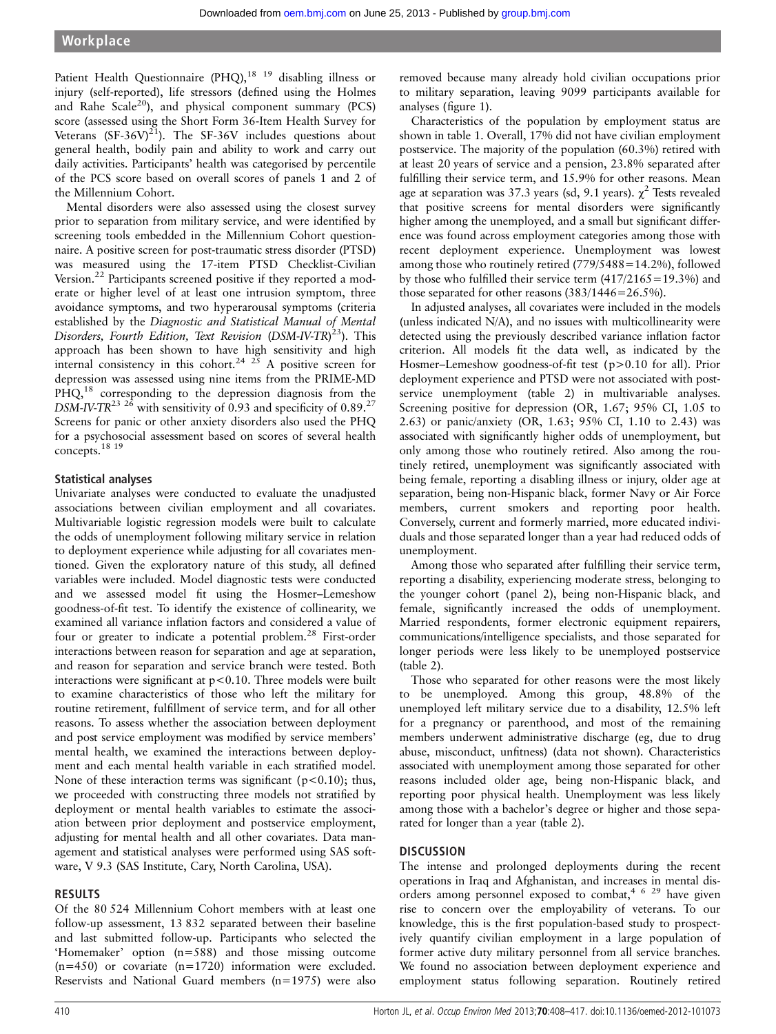Patient Health Questionnaire (PHQ), $18 \text{ } 19$  disabling illness or injury (self-reported), life stressors (defined using the Holmes and Rahe Scale<sup>20</sup>), and physical component summary (PCS) score (assessed using the Short Form 36-Item Health Survey for Veterans  $(SF-36V)^{21}$ ). The SF-36V includes questions about general health, bodily pain and ability to work and carry out daily activities. Participants' health was categorised by percentile of the PCS score based on overall scores of panels 1 and 2 of the Millennium Cohort.

Mental disorders were also assessed using the closest survey prior to separation from military service, and were identified by screening tools embedded in the Millennium Cohort questionnaire. A positive screen for post-traumatic stress disorder (PTSD) was measured using the 17-item PTSD Checklist-Civilian Version.<sup>22</sup> Participants screened positive if they reported a moderate or higher level of at least one intrusion symptom, three avoidance symptoms, and two hyperarousal symptoms (criteria established by the Diagnostic and Statistical Manual of Mental Disorders, Fourth Edition, Text Revision (DSM-IV-TR)<sup>23</sup>). This approach has been shown to have high sensitivity and high internal consistency in this cohort.<sup>24 25</sup> A positive screen for depression was assessed using nine items from the PRIME-MD PHQ,<sup>18</sup> corresponding to the depression diagnosis from the DSM-IV-TR<sup>23 26</sup> with sensitivity of 0.93 and specificity of 0.89.<sup>27</sup> Screens for panic or other anxiety disorders also used the PHQ for a psychosocial assessment based on scores of several health concepts.18 19

#### Statistical analyses

Univariate analyses were conducted to evaluate the unadjusted associations between civilian employment and all covariates. Multivariable logistic regression models were built to calculate the odds of unemployment following military service in relation to deployment experience while adjusting for all covariates mentioned. Given the exploratory nature of this study, all defined variables were included. Model diagnostic tests were conducted and we assessed model fit using the Hosmer–Lemeshow goodness-of-fit test. To identify the existence of collinearity, we examined all variance inflation factors and considered a value of four or greater to indicate a potential problem.<sup>28</sup> First-order interactions between reason for separation and age at separation, and reason for separation and service branch were tested. Both interactions were significant at  $p<0.10$ . Three models were built to examine characteristics of those who left the military for routine retirement, fulfillment of service term, and for all other reasons. To assess whether the association between deployment and post service employment was modified by service members' mental health, we examined the interactions between deployment and each mental health variable in each stratified model. None of these interaction terms was significant ( $p$ <0.10); thus, we proceeded with constructing three models not stratified by deployment or mental health variables to estimate the association between prior deployment and postservice employment, adjusting for mental health and all other covariates. Data management and statistical analyses were performed using SAS software, V 9.3 (SAS Institute, Cary, North Carolina, USA).

#### RESULTS

Of the 80 524 Millennium Cohort members with at least one follow-up assessment, 13 832 separated between their baseline and last submitted follow-up. Participants who selected the 'Homemaker' option (n=588) and those missing outcome (n=450) or covariate (n=1720) information were excluded. Reservists and National Guard members (n=1975) were also

removed because many already hold civilian occupations prior to military separation, leaving 9099 participants available for analyses (figure 1).

Characteristics of the population by employment status are shown in table 1. Overall, 17% did not have civilian employment postservice. The majority of the population (60.3%) retired with at least 20 years of service and a pension, 23.8% separated after fulfilling their service term, and 15.9% for other reasons. Mean age at separation was 37.3 years (sd, 9.1 years).  $\chi^2$  Tests revealed that positive screens for mental disorders were significantly higher among the unemployed, and a small but significant difference was found across employment categories among those with recent deployment experience. Unemployment was lowest among those who routinely retired (779/5488=14.2%), followed by those who fulfilled their service term  $(417/2165=19.3\%)$  and those separated for other reasons (383/1446=26.5%).

In adjusted analyses, all covariates were included in the models (unless indicated N/A), and no issues with multicollinearity were detected using the previously described variance inflation factor criterion. All models fit the data well, as indicated by the Hosmer–Lemeshow goodness-of-fit test (p>0.10 for all). Prior deployment experience and PTSD were not associated with postservice unemployment (table 2) in multivariable analyses. Screening positive for depression (OR, 1.67; 95% CI, 1.05 to 2.63) or panic/anxiety (OR, 1.63; 95% CI, 1.10 to 2.43) was associated with significantly higher odds of unemployment, but only among those who routinely retired. Also among the routinely retired, unemployment was significantly associated with being female, reporting a disabling illness or injury, older age at separation, being non-Hispanic black, former Navy or Air Force members, current smokers and reporting poor health. Conversely, current and formerly married, more educated individuals and those separated longer than a year had reduced odds of unemployment.

Among those who separated after fulfilling their service term, reporting a disability, experiencing moderate stress, belonging to the younger cohort (panel 2), being non-Hispanic black, and female, significantly increased the odds of unemployment. Married respondents, former electronic equipment repairers, communications/intelligence specialists, and those separated for longer periods were less likely to be unemployed postservice (table 2).

Those who separated for other reasons were the most likely to be unemployed. Among this group, 48.8% of the unemployed left military service due to a disability, 12.5% left for a pregnancy or parenthood, and most of the remaining members underwent administrative discharge (eg, due to drug abuse, misconduct, unfitness) (data not shown). Characteristics associated with unemployment among those separated for other reasons included older age, being non-Hispanic black, and reporting poor physical health. Unemployment was less likely among those with a bachelor's degree or higher and those separated for longer than a year (table 2).

#### **DISCUSSION**

The intense and prolonged deployments during the recent operations in Iraq and Afghanistan, and increases in mental disorders among personnel exposed to combat,<sup>4 6 29</sup> have given rise to concern over the employability of veterans. To our knowledge, this is the first population-based study to prospectively quantify civilian employment in a large population of former active duty military personnel from all service branches. We found no association between deployment experience and employment status following separation. Routinely retired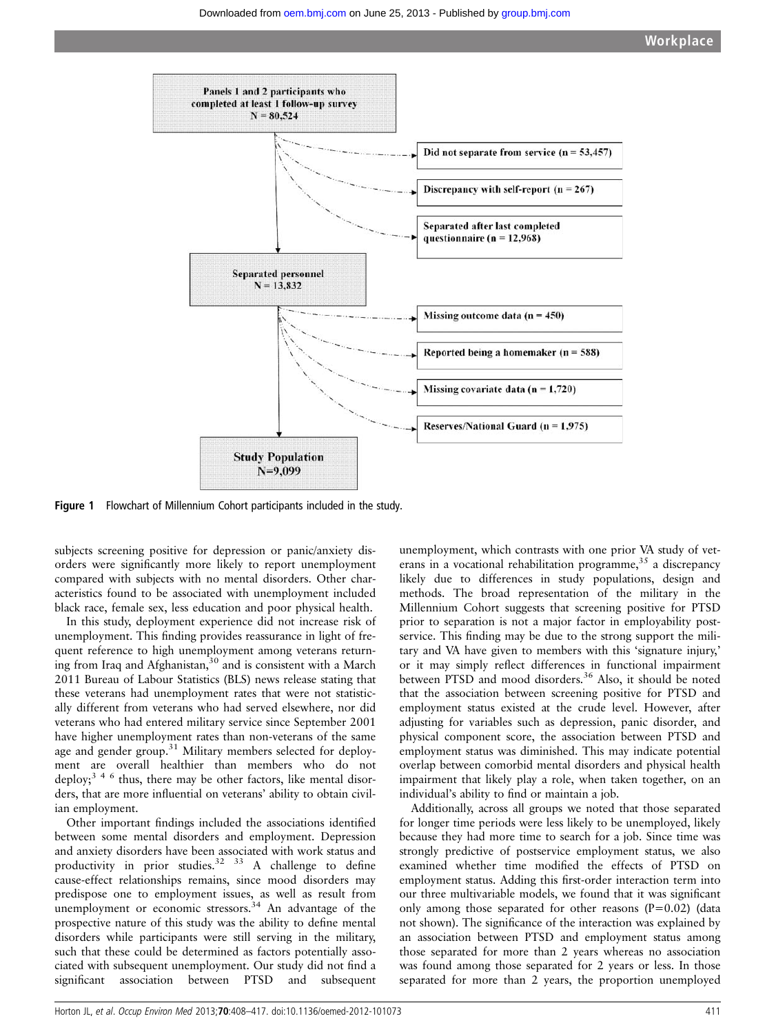

Figure 1 Flowchart of Millennium Cohort participants included in the study.

subjects screening positive for depression or panic/anxiety disorders were significantly more likely to report unemployment compared with subjects with no mental disorders. Other characteristics found to be associated with unemployment included black race, female sex, less education and poor physical health.

In this study, deployment experience did not increase risk of unemployment. This finding provides reassurance in light of frequent reference to high unemployment among veterans returning from Iraq and Afghanistan, $30$  and is consistent with a March 2011 Bureau of Labour Statistics (BLS) news release stating that these veterans had unemployment rates that were not statistically different from veterans who had served elsewhere, nor did veterans who had entered military service since September 2001 have higher unemployment rates than non-veterans of the same age and gender group.<sup>31</sup> Military members selected for deployment are overall healthier than members who do not deploy;<sup>346</sup> thus, there may be other factors, like mental disorders, that are more influential on veterans' ability to obtain civilian employment.

Other important findings included the associations identified between some mental disorders and employment. Depression and anxiety disorders have been associated with work status and productivity in prior studies.<sup>32 33</sup> A challenge to define cause-effect relationships remains, since mood disorders may predispose one to employment issues, as well as result from unemployment or economic stressors.<sup>34</sup> An advantage of the prospective nature of this study was the ability to define mental disorders while participants were still serving in the military, such that these could be determined as factors potentially associated with subsequent unemployment. Our study did not find a significant association between PTSD and subsequent

unemployment, which contrasts with one prior VA study of veterans in a vocational rehabilitation programme,  $35$  a discrepancy likely due to differences in study populations, design and methods. The broad representation of the military in the Millennium Cohort suggests that screening positive for PTSD prior to separation is not a major factor in employability postservice. This finding may be due to the strong support the military and VA have given to members with this 'signature injury,' or it may simply reflect differences in functional impairment between PTSD and mood disorders.<sup>36</sup> Also, it should be noted that the association between screening positive for PTSD and employment status existed at the crude level. However, after adjusting for variables such as depression, panic disorder, and physical component score, the association between PTSD and employment status was diminished. This may indicate potential overlap between comorbid mental disorders and physical health impairment that likely play a role, when taken together, on an individual's ability to find or maintain a job.

Additionally, across all groups we noted that those separated for longer time periods were less likely to be unemployed, likely because they had more time to search for a job. Since time was strongly predictive of postservice employment status, we also examined whether time modified the effects of PTSD on employment status. Adding this first-order interaction term into our three multivariable models, we found that it was significant only among those separated for other reasons  $(P=0.02)$  (data not shown). The significance of the interaction was explained by an association between PTSD and employment status among those separated for more than 2 years whereas no association was found among those separated for 2 years or less. In those separated for more than 2 years, the proportion unemployed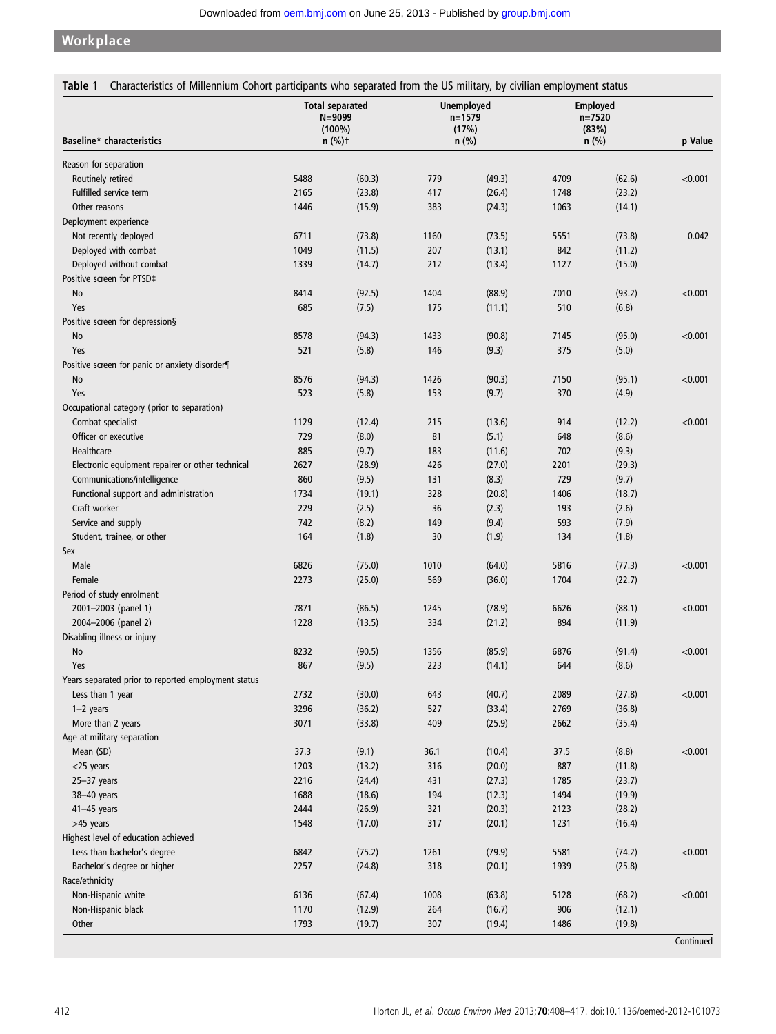# **Workplace**

| <b>Baseline*</b> characteristics                    | <b>Total separated</b><br>$N = 9099$<br>$(100\%)$<br>$n$ (%)t |                  | <b>Unemployed</b><br>$n = 1579$<br>(17%)<br>n (%) |                  | <b>Employed</b><br>$n = 7520$<br>(83%)<br>$n$ (%) |                  | p Value |
|-----------------------------------------------------|---------------------------------------------------------------|------------------|---------------------------------------------------|------------------|---------------------------------------------------|------------------|---------|
|                                                     |                                                               |                  |                                                   |                  |                                                   |                  |         |
| Reason for separation                               |                                                               |                  |                                                   |                  |                                                   |                  |         |
| Routinely retired                                   | 5488                                                          | (60.3)           | 779                                               | (49.3)           | 4709                                              | (62.6)           | < 0.001 |
| Fulfilled service term                              | 2165                                                          | (23.8)           | 417                                               | (26.4)           | 1748                                              | (23.2)           |         |
| Other reasons                                       | 1446                                                          | (15.9)           | 383                                               | (24.3)           | 1063                                              | (14.1)           |         |
| Deployment experience                               |                                                               |                  |                                                   |                  |                                                   |                  |         |
| Not recently deployed                               | 6711                                                          | (73.8)           | 1160                                              | (73.5)           | 5551                                              | (73.8)           | 0.042   |
| Deployed with combat                                | 1049                                                          | (11.5)           | 207                                               | (13.1)           | 842                                               | (11.2)           |         |
| Deployed without combat                             | 1339                                                          | (14.7)           | 212                                               | (13.4)           | 1127                                              | (15.0)           |         |
| Positive screen for PTSD‡                           |                                                               |                  |                                                   |                  |                                                   |                  |         |
| No                                                  | 8414                                                          | (92.5)           | 1404                                              | (88.9)           | 7010                                              | (93.2)           | < 0.001 |
| Yes                                                 | 685                                                           | (7.5)            | 175                                               | (11.1)           | 510                                               | (6.8)            |         |
| Positive screen for depression§                     |                                                               |                  |                                                   |                  |                                                   |                  |         |
| No                                                  | 8578                                                          | (94.3)           | 1433                                              | (90.8)           | 7145                                              | (95.0)           | < 0.001 |
| Yes                                                 | 521                                                           | (5.8)            | 146                                               | (9.3)            | 375                                               | (5.0)            |         |
| Positive screen for panic or anxiety disorder¶      |                                                               |                  |                                                   |                  |                                                   |                  |         |
| No                                                  | 8576                                                          | (94.3)           | 1426                                              | (90.3)           | 7150                                              | (95.1)           | < 0.001 |
| Yes                                                 | 523                                                           | (5.8)            | 153                                               | (9.7)            | 370                                               | (4.9)            |         |
| Occupational category (prior to separation)         |                                                               |                  |                                                   |                  |                                                   |                  |         |
| Combat specialist                                   | 1129                                                          | (12.4)           | 215                                               | (13.6)           | 914                                               | (12.2)           | < 0.001 |
| Officer or executive                                | 729                                                           | (8.0)            | 81                                                | (5.1)            | 648                                               | (8.6)            |         |
| Healthcare                                          | 885                                                           | (9.7)            | 183                                               | (11.6)           | 702                                               | (9.3)            |         |
| Electronic equipment repairer or other technical    | 2627                                                          | (28.9)           | 426                                               | (27.0)           | 2201                                              | (29.3)           |         |
| Communications/intelligence                         | 860                                                           | (9.5)            | 131                                               | (8.3)            | 729                                               | (9.7)            |         |
| Functional support and administration               | 1734                                                          | (19.1)           | 328                                               | (20.8)           | 1406                                              | (18.7)           |         |
| Craft worker                                        | 229                                                           | (2.5)            | 36                                                | (2.3)            | 193                                               | (2.6)            |         |
| Service and supply                                  | 742                                                           | (8.2)            | 149                                               | (9.4)            | 593                                               | (7.9)            |         |
| Student, trainee, or other                          | 164                                                           | (1.8)            | 30                                                | (1.9)            | 134                                               | (1.8)            |         |
| Sex                                                 |                                                               |                  |                                                   |                  |                                                   |                  |         |
| Male                                                | 6826                                                          | (75.0)           | 1010                                              | (64.0)           | 5816                                              | (77.3)           | < 0.001 |
| Female                                              | 2273                                                          | (25.0)           | 569                                               | (36.0)           | 1704                                              | (22.7)           |         |
| Period of study enrolment                           |                                                               |                  |                                                   |                  |                                                   |                  |         |
| 2001-2003 (panel 1)                                 | 7871                                                          | (86.5)           | 1245                                              | (78.9)           | 6626                                              | (88.1)           | < 0.001 |
| 2004-2006 (panel 2)                                 | 1228                                                          | (13.5)           | 334                                               | (21.2)           | 894                                               | (11.9)           |         |
| Disabling illness or injury                         |                                                               |                  |                                                   |                  |                                                   |                  |         |
| No                                                  | 8232                                                          | (90.5)           | 1356                                              | (85.9)           | 6876                                              | (91.4)           | < 0.001 |
| Yes                                                 | 867                                                           | (9.5)            | 223                                               | (14.1)           | 644                                               | (8.6)            |         |
| Years separated prior to reported employment status |                                                               |                  |                                                   |                  |                                                   |                  |         |
| Less than 1 year                                    | 2732                                                          | (30.0)           | 643                                               | (40.7)           | 2089                                              | (27.8)           | < 0.001 |
| $1-2$ years                                         | 3296                                                          | (36.2)           | 527                                               | (33.4)           | 2769                                              | (36.8)           |         |
| More than 2 years                                   | 3071                                                          | (33.8)           | 409                                               | (25.9)           | 2662                                              | (35.4)           |         |
| Age at military separation                          |                                                               |                  |                                                   |                  |                                                   |                  | < 0.001 |
| Mean (SD)<br>$<$ 25 years                           | 37.3<br>1203                                                  | (9.1)            | 36.1<br>316                                       | (10.4)           | 37.5<br>887                                       | (8.8)            |         |
|                                                     | 2216                                                          | (13.2)<br>(24.4) | 431                                               | (20.0)<br>(27.3) | 1785                                              | (11.8)<br>(23.7) |         |
| $25 - 37$ years<br>38-40 years                      | 1688                                                          | (18.6)           | 194                                               | (12.3)           | 1494                                              | (19.9)           |         |
|                                                     | 2444                                                          |                  | 321                                               |                  |                                                   |                  |         |
| $41-45$ years                                       |                                                               | (26.9)           |                                                   | (20.3)           | 2123                                              | (28.2)           |         |
| >45 years<br>Highest level of education achieved    | 1548                                                          | (17.0)           | 317                                               | (20.1)           | 1231                                              | (16.4)           |         |
|                                                     |                                                               |                  | 1261                                              |                  | 5581                                              |                  | < 0.001 |
| Less than bachelor's degree                         | 6842                                                          | (75.2)           |                                                   | (79.9)           |                                                   | (74.2)           |         |
| Bachelor's degree or higher                         | 2257                                                          | (24.8)           | 318                                               | (20.1)           | 1939                                              | (25.8)           |         |
| Race/ethnicity                                      |                                                               |                  |                                                   |                  |                                                   |                  |         |
| Non-Hispanic white                                  | 6136<br>1170                                                  | (67.4)           | 1008<br>264                                       | (63.8)           | 5128<br>906                                       | (68.2)           | < 0.001 |
| Non-Hispanic black                                  |                                                               | (12.9)           |                                                   | (16.7)           |                                                   | (12.1)           |         |
| Other                                               | 1793                                                          | (19.7)           | 307                                               | (19.4)           | 1486                                              | (19.8)           |         |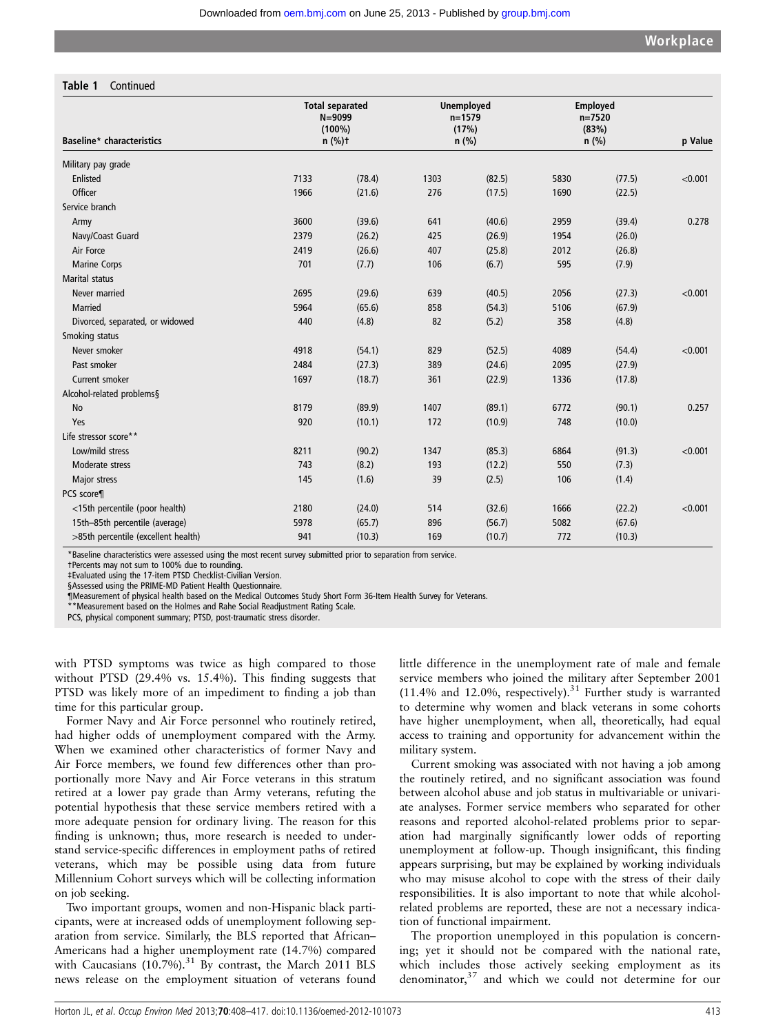#### Table 1 Continued

| <b>Baseline*</b> characteristics<br>$n$ (%)t<br>$n$ (%)<br>$n$ (%)<br>Military pay grade<br>Enlisted<br>7133<br>(78.4)<br>1303<br>(82.5)<br>5830<br>(77.5)<br>Officer<br>1966<br>276<br>(21.6)<br>(17.5)<br>1690<br>(22.5)<br>Service branch<br>3600<br>(39.6)<br>641<br>(40.6)<br>2959<br>(39.4)<br>Army<br>2379<br>(26.2)<br>425<br>(26.9)<br>1954<br>(26.0)<br>Navy/Coast Guard<br>Air Force<br>2419<br>(26.6)<br>407<br>(25.8)<br>2012<br>(26.8)<br>701<br>(6.7)<br><b>Marine Corps</b><br>(7.7)<br>106<br>595<br>(7.9)<br><b>Marital status</b><br>Never married<br>2695<br>(29.6)<br>639<br>(40.5)<br>2056<br>(27.3)<br><b>Married</b><br>5964<br>(65.6)<br>858<br>(54.3)<br>5106<br>(67.9)<br>82<br>Divorced, separated, or widowed<br>440<br>(4.8)<br>(5.2)<br>358<br>(4.8) | p Value |
|-------------------------------------------------------------------------------------------------------------------------------------------------------------------------------------------------------------------------------------------------------------------------------------------------------------------------------------------------------------------------------------------------------------------------------------------------------------------------------------------------------------------------------------------------------------------------------------------------------------------------------------------------------------------------------------------------------------------------------------------------------------------------------------|---------|
|                                                                                                                                                                                                                                                                                                                                                                                                                                                                                                                                                                                                                                                                                                                                                                                     |         |
|                                                                                                                                                                                                                                                                                                                                                                                                                                                                                                                                                                                                                                                                                                                                                                                     |         |
|                                                                                                                                                                                                                                                                                                                                                                                                                                                                                                                                                                                                                                                                                                                                                                                     | < 0.001 |
|                                                                                                                                                                                                                                                                                                                                                                                                                                                                                                                                                                                                                                                                                                                                                                                     |         |
|                                                                                                                                                                                                                                                                                                                                                                                                                                                                                                                                                                                                                                                                                                                                                                                     |         |
|                                                                                                                                                                                                                                                                                                                                                                                                                                                                                                                                                                                                                                                                                                                                                                                     | 0.278   |
|                                                                                                                                                                                                                                                                                                                                                                                                                                                                                                                                                                                                                                                                                                                                                                                     |         |
|                                                                                                                                                                                                                                                                                                                                                                                                                                                                                                                                                                                                                                                                                                                                                                                     |         |
|                                                                                                                                                                                                                                                                                                                                                                                                                                                                                                                                                                                                                                                                                                                                                                                     |         |
|                                                                                                                                                                                                                                                                                                                                                                                                                                                                                                                                                                                                                                                                                                                                                                                     |         |
|                                                                                                                                                                                                                                                                                                                                                                                                                                                                                                                                                                                                                                                                                                                                                                                     | < 0.001 |
|                                                                                                                                                                                                                                                                                                                                                                                                                                                                                                                                                                                                                                                                                                                                                                                     |         |
|                                                                                                                                                                                                                                                                                                                                                                                                                                                                                                                                                                                                                                                                                                                                                                                     |         |
| Smoking status                                                                                                                                                                                                                                                                                                                                                                                                                                                                                                                                                                                                                                                                                                                                                                      |         |
| 829<br>Never smoker<br>4918<br>(54.1)<br>(52.5)<br>4089<br>(54.4)                                                                                                                                                                                                                                                                                                                                                                                                                                                                                                                                                                                                                                                                                                                   | < 0.001 |
| Past smoker<br>2484<br>389<br>(27.9)<br>(27.3)<br>(24.6)<br>2095                                                                                                                                                                                                                                                                                                                                                                                                                                                                                                                                                                                                                                                                                                                    |         |
| 1697<br>361<br>Current smoker<br>(18.7)<br>(22.9)<br>1336<br>(17.8)                                                                                                                                                                                                                                                                                                                                                                                                                                                                                                                                                                                                                                                                                                                 |         |
| Alcohol-related problems§                                                                                                                                                                                                                                                                                                                                                                                                                                                                                                                                                                                                                                                                                                                                                           |         |
| 8179<br>(89.9)<br>1407<br>(89.1)<br>6772<br>(90.1)<br><b>No</b>                                                                                                                                                                                                                                                                                                                                                                                                                                                                                                                                                                                                                                                                                                                     | 0.257   |
| 920<br>748<br>Yes<br>(10.1)<br>172<br>(10.9)<br>(10.0)                                                                                                                                                                                                                                                                                                                                                                                                                                                                                                                                                                                                                                                                                                                              |         |
| Life stressor score**                                                                                                                                                                                                                                                                                                                                                                                                                                                                                                                                                                                                                                                                                                                                                               |         |
| Low/mild stress<br>8211<br>(90.2)<br>1347<br>(85.3)<br>6864<br>(91.3)                                                                                                                                                                                                                                                                                                                                                                                                                                                                                                                                                                                                                                                                                                               | < 0.001 |
| 743<br>(8.2)<br>(7.3)<br>Moderate stress<br>193<br>(12.2)<br>550                                                                                                                                                                                                                                                                                                                                                                                                                                                                                                                                                                                                                                                                                                                    |         |
| 39<br>145<br>(1.6)<br>(2.5)<br>106<br>(1.4)<br>Major stress                                                                                                                                                                                                                                                                                                                                                                                                                                                                                                                                                                                                                                                                                                                         |         |
| PCS score¶                                                                                                                                                                                                                                                                                                                                                                                                                                                                                                                                                                                                                                                                                                                                                                          |         |
| <15th percentile (poor health)<br>2180<br>(24.0)<br>514<br>(32.6)<br>1666<br>(22.2)                                                                                                                                                                                                                                                                                                                                                                                                                                                                                                                                                                                                                                                                                                 | < 0.001 |
| 15th-85th percentile (average)<br>5978<br>(65.7)<br>896<br>(56.7)<br>5082<br>(67.6)                                                                                                                                                                                                                                                                                                                                                                                                                                                                                                                                                                                                                                                                                                 |         |
| >85th percentile (excellent health)<br>941<br>(10.3)<br>169<br>(10.7)<br>772<br>(10.3)                                                                                                                                                                                                                                                                                                                                                                                                                                                                                                                                                                                                                                                                                              |         |

\*Baseline characteristics were assessed using the most recent survey submitted prior to separation from service.

†Percents may not sum to 100% due to rounding.

‡Evaluated using the 17-item PTSD Checklist-Civilian Version.

§Assessed using the PRIME-MD Patient Health Questionnaire.

¶Measurement of physical health based on the Medical Outcomes Study Short Form 36-Item Health Survey for Veterans.

\*\*Measurement based on the Holmes and Rahe Social Readjustment Rating Scale.

PCS, physical component summary; PTSD, post-traumatic stress disorder.

with PTSD symptoms was twice as high compared to those without PTSD (29.4% vs. 15.4%). This finding suggests that PTSD was likely more of an impediment to finding a job than time for this particular group.

Former Navy and Air Force personnel who routinely retired, had higher odds of unemployment compared with the Army. When we examined other characteristics of former Navy and Air Force members, we found few differences other than proportionally more Navy and Air Force veterans in this stratum retired at a lower pay grade than Army veterans, refuting the potential hypothesis that these service members retired with a more adequate pension for ordinary living. The reason for this finding is unknown; thus, more research is needed to understand service-specific differences in employment paths of retired veterans, which may be possible using data from future Millennium Cohort surveys which will be collecting information on job seeking.

Two important groups, women and non-Hispanic black participants, were at increased odds of unemployment following separation from service. Similarly, the BLS reported that African– Americans had a higher unemployment rate (14.7%) compared with Caucasians  $(10.7\%)$ .<sup>31</sup> By contrast, the March 2011 BLS news release on the employment situation of veterans found little difference in the unemployment rate of male and female service members who joined the military after September 2001  $(11.4\%$  and  $12.0\%$ , respectively).<sup>31</sup> Further study is warranted to determine why women and black veterans in some cohorts have higher unemployment, when all, theoretically, had equal access to training and opportunity for advancement within the military system.

Current smoking was associated with not having a job among the routinely retired, and no significant association was found between alcohol abuse and job status in multivariable or univariate analyses. Former service members who separated for other reasons and reported alcohol-related problems prior to separation had marginally significantly lower odds of reporting unemployment at follow-up. Though insignificant, this finding appears surprising, but may be explained by working individuals who may misuse alcohol to cope with the stress of their daily responsibilities. It is also important to note that while alcoholrelated problems are reported, these are not a necessary indication of functional impairment.

The proportion unemployed in this population is concerning; yet it should not be compared with the national rate, which includes those actively seeking employment as its denominator,<sup>37</sup> and which we could not determine for our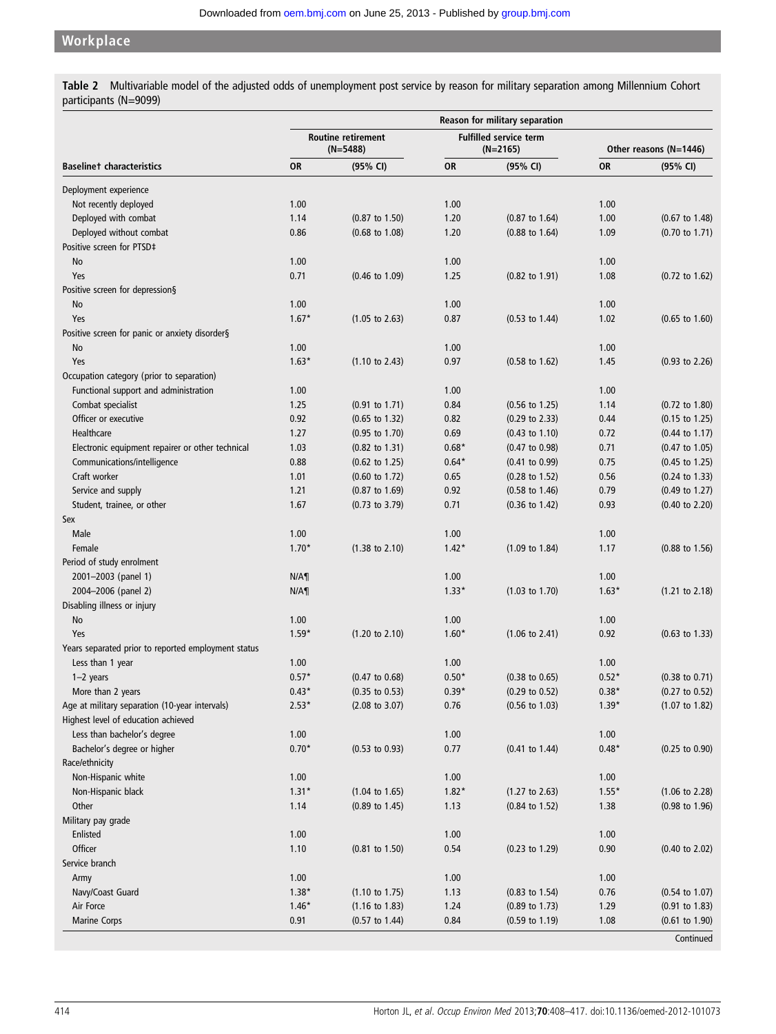### Workplace

Table 2 Multivariable model of the adjusted odds of unemployment post service by reason for military separation among Millennium Cohort participants (N=9099)

|                                                                                       | Reason for military separation          |                           |                                             |                           |                        |                           |  |  |
|---------------------------------------------------------------------------------------|-----------------------------------------|---------------------------|---------------------------------------------|---------------------------|------------------------|---------------------------|--|--|
|                                                                                       | <b>Routine retirement</b><br>$(N=5488)$ |                           | <b>Fulfilled service term</b><br>$(N=2165)$ |                           | Other reasons (N=1446) |                           |  |  |
| <b>Baselinet characteristics</b>                                                      | <b>OR</b>                               | (95% CI)                  | <b>OR</b>                                   | (95% CI)                  | <b>OR</b>              | (95% CI)                  |  |  |
| Deployment experience                                                                 |                                         |                           |                                             |                           |                        |                           |  |  |
| Not recently deployed                                                                 | 1.00                                    |                           | 1.00                                        |                           | 1.00                   |                           |  |  |
| Deployed with combat                                                                  | 1.14                                    | $(0.87$ to $1.50)$        | 1.20                                        | $(0.87$ to $1.64)$        | 1.00                   | $(0.67 \text{ to } 1.48)$ |  |  |
| Deployed without combat                                                               | 0.86                                    | $(0.68 \text{ to } 1.08)$ | 1.20                                        | $(0.88 \text{ to } 1.64)$ | 1.09                   | $(0.70 \text{ to } 1.71)$ |  |  |
| Positive screen for PTSD‡                                                             |                                         |                           |                                             |                           |                        |                           |  |  |
| No                                                                                    | 1.00                                    |                           | 1.00                                        |                           | 1.00                   |                           |  |  |
| Yes                                                                                   | 0.71                                    | $(0.46 \text{ to } 1.09)$ | 1.25                                        | $(0.82 \text{ to } 1.91)$ | 1.08                   | $(0.72 \text{ to } 1.62)$ |  |  |
| Positive screen for depression§                                                       |                                         |                           |                                             |                           |                        |                           |  |  |
| No                                                                                    | 1.00                                    |                           | 1.00                                        |                           | 1.00                   |                           |  |  |
| Yes                                                                                   | $1.67*$                                 | $(1.05 \text{ to } 2.63)$ | 0.87                                        | $(0.53 \text{ to } 1.44)$ | 1.02                   | $(0.65 \text{ to } 1.60)$ |  |  |
| Positive screen for panic or anxiety disorder§                                        |                                         |                           |                                             |                           |                        |                           |  |  |
| No                                                                                    | 1.00                                    |                           | 1.00                                        |                           | 1.00                   |                           |  |  |
| Yes                                                                                   | $1.63*$                                 | $(1.10 \text{ to } 2.43)$ | 0.97                                        | $(0.58 \text{ to } 1.62)$ | 1.45                   | $(0.93 \text{ to } 2.26)$ |  |  |
| Occupation category (prior to separation)                                             |                                         |                           |                                             |                           |                        |                           |  |  |
| Functional support and administration                                                 | 1.00                                    |                           | 1.00                                        |                           | 1.00                   |                           |  |  |
| Combat specialist                                                                     | 1.25                                    | $(0.91$ to $1.71)$        | 0.84                                        | $(0.56 \text{ to } 1.25)$ | 1.14                   | $(0.72 \text{ to } 1.80)$ |  |  |
| Officer or executive                                                                  | 0.92                                    | $(0.65 \text{ to } 1.32)$ | 0.82                                        | $(0.29 \text{ to } 2.33)$ | 0.44                   | $(0.15$ to 1.25)          |  |  |
| Healthcare                                                                            | 1.27                                    | (0.95 to 1.70)            | 0.69                                        | $(0.43 \text{ to } 1.10)$ | 0.72                   | $(0.44 \text{ to } 1.17)$ |  |  |
| Electronic equipment repairer or other technical                                      | 1.03                                    | $(0.82 \text{ to } 1.31)$ | $0.68*$                                     | $(0.47 \text{ to } 0.98)$ | 0.71                   | $(0.47 \text{ to } 1.05)$ |  |  |
| Communications/intelligence                                                           | 0.88                                    | $(0.62 \text{ to } 1.25)$ | $0.64*$                                     | $(0.41 \text{ to } 0.99)$ | 0.75                   | $(0.45 \text{ to } 1.25)$ |  |  |
| Craft worker                                                                          | 1.01                                    | (0.60 to 1.72)            | 0.65                                        | $(0.28 \text{ to } 1.52)$ | 0.56                   | $(0.24 \text{ to } 1.33)$ |  |  |
| Service and supply                                                                    | 1.21                                    | $(0.87 \text{ to } 1.69)$ | 0.92                                        | $(0.58 \text{ to } 1.46)$ | 0.79                   | $(0.49 \text{ to } 1.27)$ |  |  |
| Student, trainee, or other                                                            | 1.67                                    | $(0.73 \text{ to } 3.79)$ | 0.71                                        | $(0.36 \text{ to } 1.42)$ | 0.93                   | $(0.40 \text{ to } 2.20)$ |  |  |
| Sex                                                                                   |                                         |                           |                                             |                           |                        |                           |  |  |
| Male                                                                                  | 1.00                                    |                           | 1.00                                        |                           | 1.00                   |                           |  |  |
| Female                                                                                | $1.70*$                                 | $(1.38 \text{ to } 2.10)$ | $1.42*$                                     | $(1.09 \text{ to } 1.84)$ | 1.17                   | $(0.88 \text{ to } 1.56)$ |  |  |
| Period of study enrolment                                                             |                                         |                           |                                             |                           |                        |                           |  |  |
| 2001-2003 (panel 1)                                                                   | N/A                                     |                           | 1.00                                        |                           | 1.00                   |                           |  |  |
| 2004-2006 (panel 2)                                                                   | $N/A\P$                                 |                           | $1.33*$                                     | $(1.03 \text{ to } 1.70)$ | $1.63*$                | $(1.21 \text{ to } 2.18)$ |  |  |
| Disabling illness or injury                                                           |                                         |                           |                                             |                           |                        |                           |  |  |
| No                                                                                    | 1.00                                    |                           | 1.00                                        |                           | 1.00                   |                           |  |  |
| Yes                                                                                   | $1.59*$                                 | $(1.20 \text{ to } 2.10)$ | $1.60*$                                     | $(1.06 \text{ to } 2.41)$ | 0.92                   | $(0.63 \text{ to } 1.33)$ |  |  |
| Years separated prior to reported employment status                                   |                                         |                           |                                             |                           |                        |                           |  |  |
| Less than 1 year                                                                      | 1.00                                    |                           | 1.00                                        |                           | 1.00                   |                           |  |  |
| $1-2$ years                                                                           | $0.57*$                                 | $(0.47 \text{ to } 0.68)$ | $0.50*$                                     | $(0.38 \text{ to } 0.65)$ | $0.52*$                | $(0.38 \text{ to } 0.71)$ |  |  |
| More than 2 years                                                                     | $0.43*$                                 | $(0.35$ to $0.53)$        | $0.39*$                                     | $(0.29 \text{ to } 0.52)$ | $0.38*$                | $(0.27 \text{ to } 0.52)$ |  |  |
| Age at military separation (10-year intervals)<br>Highest level of education achieved | $2.53*$                                 | $(2.08 \text{ to } 3.07)$ | 0.76                                        | $(0.56 \text{ to } 1.03)$ | $1.39*$                | $(1.07 \text{ to } 1.82)$ |  |  |
| Less than bachelor's degree                                                           | 1.00                                    |                           | 1.00                                        |                           | 1.00                   |                           |  |  |
| Bachelor's degree or higher                                                           | $0.70*$                                 | $(0.53 \text{ to } 0.93)$ | 0.77                                        | $(0.41 \text{ to } 1.44)$ | $0.48*$                | $(0.25$ to $0.90)$        |  |  |
| Race/ethnicity                                                                        |                                         |                           |                                             |                           |                        |                           |  |  |
| Non-Hispanic white                                                                    | 1.00                                    |                           | 1.00                                        |                           | 1.00                   |                           |  |  |
| Non-Hispanic black                                                                    | $1.31*$                                 | $(1.04 \text{ to } 1.65)$ | $1.82*$                                     | $(1.27$ to 2.63)          | $1.55*$                | $(1.06 \text{ to } 2.28)$ |  |  |
| Other                                                                                 | 1.14                                    | $(0.89 \text{ to } 1.45)$ | 1.13                                        | $(0.84 \text{ to } 1.52)$ | 1.38                   | $(0.98 \text{ to } 1.96)$ |  |  |
| Military pay grade                                                                    |                                         |                           |                                             |                           |                        |                           |  |  |
| Enlisted                                                                              | 1.00                                    |                           | 1.00                                        |                           | 1.00                   |                           |  |  |
| Officer                                                                               | 1.10                                    | (0.81 to 1.50)            | 0.54                                        | $(0.23$ to 1.29)          | 0.90                   | $(0.40 \text{ to } 2.02)$ |  |  |
| Service branch                                                                        |                                         |                           |                                             |                           |                        |                           |  |  |
| Army                                                                                  | 1.00                                    |                           | 1.00                                        |                           | 1.00                   |                           |  |  |
| Navy/Coast Guard                                                                      | $1.38*$                                 | $(1.10 \text{ to } 1.75)$ | 1.13                                        | $(0.83 \text{ to } 1.54)$ | 0.76                   | $(0.54 \text{ to } 1.07)$ |  |  |
| Air Force                                                                             | $1.46*$                                 | $(1.16 \text{ to } 1.83)$ | 1.24                                        | $(0.89 \text{ to } 1.73)$ | 1.29                   | $(0.91 \text{ to } 1.83)$ |  |  |
| <b>Marine Corps</b>                                                                   | 0.91                                    | $(0.57 \text{ to } 1.44)$ | 0.84                                        | $(0.59 \text{ to } 1.19)$ | 1.08                   | $(0.61$ to $1.90)$        |  |  |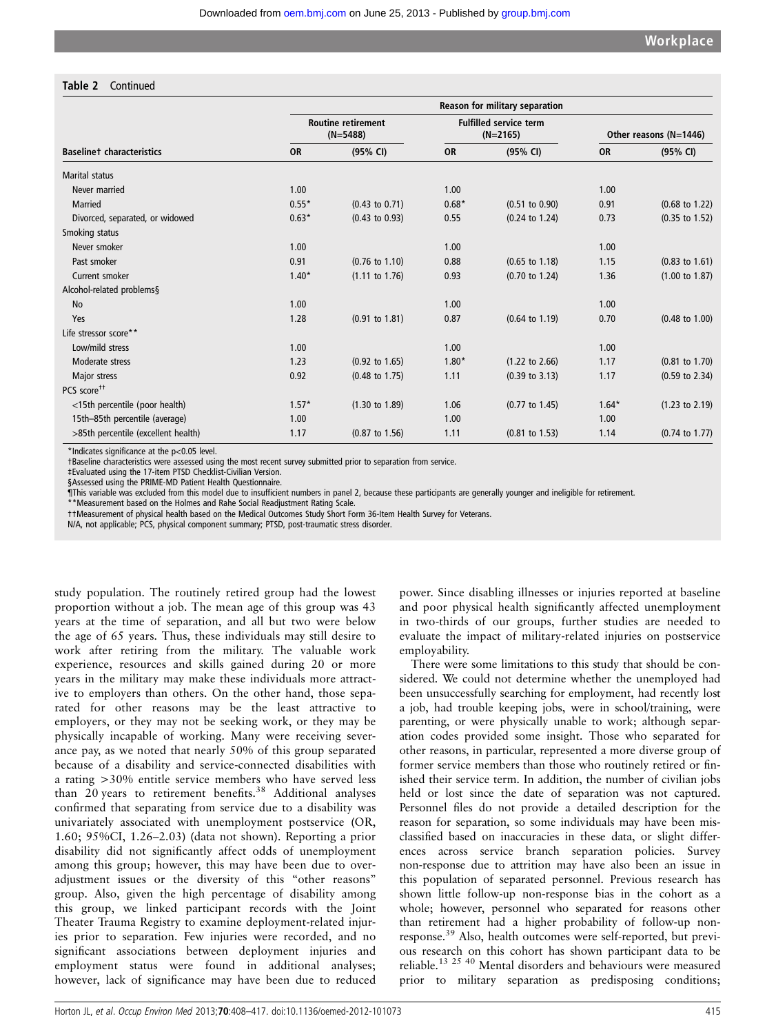#### Table 2 Continued

|                                     |           | Reason for military separation          |           |                                             |           |                           |  |
|-------------------------------------|-----------|-----------------------------------------|-----------|---------------------------------------------|-----------|---------------------------|--|
|                                     |           | <b>Routine retirement</b><br>$(N=5488)$ |           | <b>Fulfilled service term</b><br>$(N=2165)$ |           | Other reasons (N=1446)    |  |
| <b>Baselinet characteristics</b>    | <b>OR</b> | (95% CI)                                | <b>OR</b> | (95% CI)                                    | <b>OR</b> | (95% CI)                  |  |
| <b>Marital status</b>               |           |                                         |           |                                             |           |                           |  |
| Never married                       | 1.00      |                                         | 1.00      |                                             | 1.00      |                           |  |
| <b>Married</b>                      | $0.55*$   | $(0.43 \text{ to } 0.71)$               | $0.68*$   | $(0.51 \text{ to } 0.90)$                   | 0.91      | $(0.68 \text{ to } 1.22)$ |  |
| Divorced, separated, or widowed     | $0.63*$   | $(0.43 \text{ to } 0.93)$               | 0.55      | $(0.24 \text{ to } 1.24)$                   | 0.73      | $(0.35 \text{ to } 1.52)$ |  |
| Smoking status                      |           |                                         |           |                                             |           |                           |  |
| Never smoker                        | 1.00      |                                         | 1.00      |                                             | 1.00      |                           |  |
| Past smoker                         | 0.91      | $(0.76 \text{ to } 1.10)$               | 0.88      | $(0.65 \text{ to } 1.18)$                   | 1.15      | $(0.83 \text{ to } 1.61)$ |  |
| Current smoker                      | $1.40*$   | $(1.11 \text{ to } 1.76)$               | 0.93      | $(0.70 \text{ to } 1.24)$                   | 1.36      | $(1.00 \text{ to } 1.87)$ |  |
| Alcohol-related problems§           |           |                                         |           |                                             |           |                           |  |
| <b>No</b>                           | 1.00      |                                         | 1.00      |                                             | 1.00      |                           |  |
| Yes                                 | 1.28      | $(0.91 \text{ to } 1.81)$               | 0.87      | $(0.64 \text{ to } 1.19)$                   | 0.70      | $(0.48 \text{ to } 1.00)$ |  |
| Life stressor score**               |           |                                         |           |                                             |           |                           |  |
| Low/mild stress                     | 1.00      |                                         | 1.00      |                                             | 1.00      |                           |  |
| Moderate stress                     | 1.23      | $(0.92 \text{ to } 1.65)$               | $1.80*$   | $(1.22 \text{ to } 2.66)$                   | 1.17      | $(0.81 \text{ to } 1.70)$ |  |
| Major stress                        | 0.92      | $(0.48 \text{ to } 1.75)$               | 1.11      | $(0.39 \text{ to } 3.13)$                   | 1.17      | $(0.59 \text{ to } 2.34)$ |  |
| PCS score <sup>††</sup>             |           |                                         |           |                                             |           |                           |  |
| <15th percentile (poor health)      | $1.57*$   | $(1.30 \text{ to } 1.89)$               | 1.06      | $(0.77$ to $1.45)$                          | $1.64*$   | $(1.23 \text{ to } 2.19)$ |  |
| 15th-85th percentile (average)      | 1.00      |                                         | 1.00      |                                             | 1.00      |                           |  |
| >85th percentile (excellent health) | 1.17      | $(0.87 \text{ to } 1.56)$               | 1.11      | $(0.81 \text{ to } 1.53)$                   | 1.14      | $(0.74 \text{ to } 1.77)$ |  |

\*Indicates significance at the p<0.05 level.

†Baseline characteristics were assessed using the most recent survey submitted prior to separation from service.

‡Evaluated using the 17-item PTSD Checklist-Civilian Version.

§Assessed using the PRIME-MD Patient Health Questionnaire.

¶This variable was excluded from this model due to insufficient numbers in panel 2, because these participants are generally younger and ineligible for retirement.

\*\*Measurement based on the Holmes and Rahe Social Readjustment Rating Scale.

††Measurement of physical health based on the Medical Outcomes Study Short Form 36-Item Health Survey for Veterans.

N/A, not applicable; PCS, physical component summary; PTSD, post-traumatic stress disorder.

study population. The routinely retired group had the lowest proportion without a job. The mean age of this group was 43 years at the time of separation, and all but two were below the age of 65 years. Thus, these individuals may still desire to work after retiring from the military. The valuable work experience, resources and skills gained during 20 or more years in the military may make these individuals more attractive to employers than others. On the other hand, those separated for other reasons may be the least attractive to employers, or they may not be seeking work, or they may be physically incapable of working. Many were receiving severance pay, as we noted that nearly 50% of this group separated because of a disability and service-connected disabilities with a rating >30% entitle service members who have served less than 20 years to retirement benefits.<sup>38</sup> Additional analyses confirmed that separating from service due to a disability was univariately associated with unemployment postservice (OR, 1.60; 95%CI, 1.26–2.03) (data not shown). Reporting a prior disability did not significantly affect odds of unemployment among this group; however, this may have been due to overadjustment issues or the diversity of this "other reasons" group. Also, given the high percentage of disability among this group, we linked participant records with the Joint Theater Trauma Registry to examine deployment-related injuries prior to separation. Few injuries were recorded, and no significant associations between deployment injuries and employment status were found in additional analyses; however, lack of significance may have been due to reduced

power. Since disabling illnesses or injuries reported at baseline and poor physical health significantly affected unemployment in two-thirds of our groups, further studies are needed to evaluate the impact of military-related injuries on postservice employability.

There were some limitations to this study that should be considered. We could not determine whether the unemployed had been unsuccessfully searching for employment, had recently lost a job, had trouble keeping jobs, were in school/training, were parenting, or were physically unable to work; although separation codes provided some insight. Those who separated for other reasons, in particular, represented a more diverse group of former service members than those who routinely retired or finished their service term. In addition, the number of civilian jobs held or lost since the date of separation was not captured. Personnel files do not provide a detailed description for the reason for separation, so some individuals may have been misclassified based on inaccuracies in these data, or slight differences across service branch separation policies. Survey non-response due to attrition may have also been an issue in this population of separated personnel. Previous research has shown little follow-up non-response bias in the cohort as a whole; however, personnel who separated for reasons other than retirement had a higher probability of follow-up nonresponse.39 Also, health outcomes were self-reported, but previous research on this cohort has shown participant data to be reliable.13 25 40 Mental disorders and behaviours were measured prior to military separation as predisposing conditions;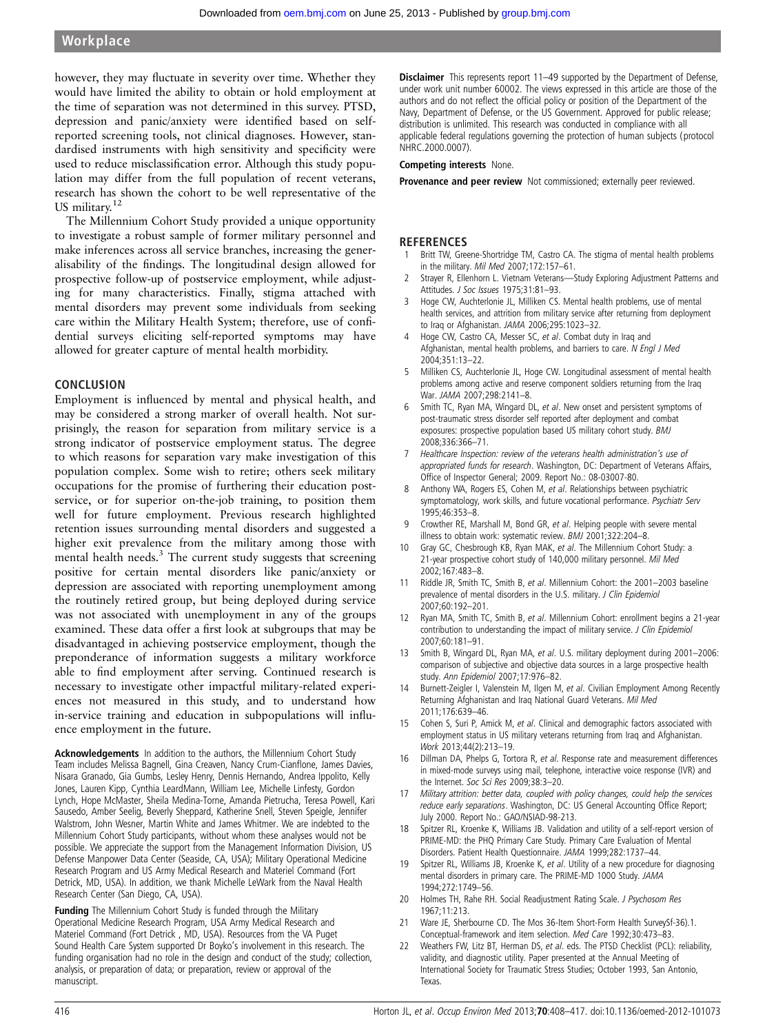however, they may fluctuate in severity over time. Whether they would have limited the ability to obtain or hold employment at the time of separation was not determined in this survey. PTSD, depression and panic/anxiety were identified based on selfreported screening tools, not clinical diagnoses. However, standardised instruments with high sensitivity and specificity were used to reduce misclassification error. Although this study population may differ from the full population of recent veterans, research has shown the cohort to be well representative of the US military.<sup>12</sup>

The Millennium Cohort Study provided a unique opportunity to investigate a robust sample of former military personnel and make inferences across all service branches, increasing the generalisability of the findings. The longitudinal design allowed for prospective follow-up of postservice employment, while adjusting for many characteristics. Finally, stigma attached with mental disorders may prevent some individuals from seeking care within the Military Health System; therefore, use of confidential surveys eliciting self-reported symptoms may have allowed for greater capture of mental health morbidity.

#### CONCLUSION

Employment is influenced by mental and physical health, and may be considered a strong marker of overall health. Not surprisingly, the reason for separation from military service is a strong indicator of postservice employment status. The degree to which reasons for separation vary make investigation of this population complex. Some wish to retire; others seek military occupations for the promise of furthering their education postservice, or for superior on-the-job training, to position them well for future employment. Previous research highlighted retention issues surrounding mental disorders and suggested a higher exit prevalence from the military among those with mental health needs.<sup>3</sup> The current study suggests that screening positive for certain mental disorders like panic/anxiety or depression are associated with reporting unemployment among the routinely retired group, but being deployed during service was not associated with unemployment in any of the groups examined. These data offer a first look at subgroups that may be disadvantaged in achieving postservice employment, though the preponderance of information suggests a military workforce able to find employment after serving. Continued research is necessary to investigate other impactful military-related experiences not measured in this study, and to understand how in-service training and education in subpopulations will influence employment in the future.

Acknowledgements In addition to the authors, the Millennium Cohort Study Team includes Melissa Bagnell, Gina Creaven, Nancy Crum-Cianflone, James Davies, Nisara Granado, Gia Gumbs, Lesley Henry, Dennis Hernando, Andrea Ippolito, Kelly Jones, Lauren Kipp, Cynthia LeardMann, William Lee, Michelle Linfesty, Gordon Lynch, Hope McMaster, Sheila Medina-Torne, Amanda Pietrucha, Teresa Powell, Kari Sausedo, Amber Seelig, Beverly Sheppard, Katherine Snell, Steven Speigle, Jennifer Walstrom, John Wesner, Martin White and James Whitmer. We are indebted to the Millennium Cohort Study participants, without whom these analyses would not be possible. We appreciate the support from the Management Information Division, US Defense Manpower Data Center (Seaside, CA, USA); Military Operational Medicine Research Program and US Army Medical Research and Materiel Command (Fort Detrick, MD, USA). In addition, we thank Michelle LeWark from the Naval Health Research Center (San Diego, CA, USA).

Funding The Millennium Cohort Study is funded through the Military Operational Medicine Research Program, USA Army Medical Research and Materiel Command (Fort Detrick , MD, USA). Resources from the VA Puget Sound Health Care System supported Dr Boyko's involvement in this research. The funding organisation had no role in the design and conduct of the study; collection, analysis, or preparation of data; or preparation, review or approval of the manuscript.

Disclaimer This represents report 11–49 supported by the Department of Defense, under work unit number 60002. The views expressed in this article are those of the authors and do not reflect the official policy or position of the Department of the Navy, Department of Defense, or the US Government. Approved for public release; distribution is unlimited. This research was conducted in compliance with all applicable federal regulations governing the protection of human subjects (protocol NHRC.2000.0007).

#### Competing interests None.

Provenance and peer review Not commissioned; externally peer reviewed.

#### **REFERENCES**

- Britt TW, Greene-Shortridge TM, Castro CA. The stigma of mental health problems in the military. Mil Med 2007;172:157–61.
- 2 Strayer R, Ellenhorn L. Vietnam Veterans—Study Exploring Adjustment Patterns and Attitudes. J Soc Issues 1975;31:81-93.
- 3 Hoge CW, Auchterlonie JL, Milliken CS. Mental health problems, use of mental health services, and attrition from military service after returning from deployment to Iraq or Afghanistan. JAMA 2006;295:1023–32.
- Hoge CW, Castro CA, Messer SC, et al. Combat duty in Iraq and Afghanistan, mental health problems, and barriers to care. N Engl J Med 2004;351:13–22.
- 5 Milliken CS, Auchterlonie JL, Hoge CW. Longitudinal assessment of mental health problems among active and reserve component soldiers returning from the Iraq War. JAMA 2007;298:2141–8.
- Smith TC, Ryan MA, Wingard DL, et al. New onset and persistent symptoms of post-traumatic stress disorder self reported after deployment and combat exposures: prospective population based US military cohort study. BMJ 2008;336:366–71.
- 7 Healthcare Inspection: review of the veterans health administration's use of appropriated funds for research. Washington, DC: Department of Veterans Affairs, Office of Inspector General; 2009. Report No.: 08-03007-80.
- Anthony WA, Rogers ES, Cohen M, et al. Relationships between psychiatric symptomatology, work skills, and future vocational performance. Psychiatr Serv 1995;46:353–8.
- 9 Crowther RE, Marshall M, Bond GR, et al. Helping people with severe mental illness to obtain work: systematic review. BMJ 2001;322:204–8.
- 10 Gray GC, Chesbrough KB, Ryan MAK, et al. The Millennium Cohort Study: a 21-year prospective cohort study of 140,000 military personnel. Mil Med 2002;167:483–8.
- Riddle JR, Smith TC, Smith B, et al. Millennium Cohort: the 2001–2003 baseline prevalence of mental disorders in the U.S. military. J Clin Epidemiol 2007;60:192–201.
- 12 Ryan MA, Smith TC, Smith B, et al. Millennium Cohort: enrollment begins a 21-year contribution to understanding the impact of military service. J Clin Epidemiol 2007;60:181–91.
- 13 Smith B, Wingard DL, Ryan MA, et al. U.S. military deployment during 2001–2006: comparison of subjective and objective data sources in a large prospective health study. Ann Epidemiol 2007;17:976–82.
- 14 Burnett-Zeigler I, Valenstein M, Ilgen M, et al. Civilian Employment Among Recently Returning Afghanistan and Iraq National Guard Veterans. Mil Med 2011;176:639–46.
- 15 Cohen S, Suri P, Amick M, et al. Clinical and demographic factors associated with employment status in US military veterans returning from Iraq and Afghanistan. Work 2013;44(2):213–19.
- 16 Dillman DA, Phelps G, Tortora R, et al. Response rate and measurement differences in mixed-mode surveys using mail, telephone, interactive voice response (IVR) and the Internet. Soc Sci Res 2009;38:3–20.
- 17 Military attrition: better data, coupled with policy changes, could help the services reduce early separations. Washington, DC: US General Accounting Office Report; July 2000. Report No.: GAO/NSIAD-98-213.
- 18 Spitzer RL, Kroenke K, Williams JB. Validation and utility of a self-report version of PRIME-MD: the PHQ Primary Care Study. Primary Care Evaluation of Mental Disorders. Patient Health Questionnaire. JAMA 1999;282:1737–44.
- Spitzer RL, Williams JB, Kroenke K, et al. Utility of a new procedure for diagnosing mental disorders in primary care. The PRIME-MD 1000 Study. JAMA 1994;272:1749–56.
- 20 Holmes TH, Rahe RH. Social Readjustment Rating Scale. J Psychosom Res 1967;11:213.
- 21 Ware JE, Sherbourne CD. The Mos 36-Item Short-Form Health SurveySf-36).1. Conceptual-framework and item selection. Med Care 1992;30:473–83.
- 22 Weathers FW, Litz BT, Herman DS, et al. eds. The PTSD Checklist (PCL): reliability, validity, and diagnostic utility. Paper presented at the Annual Meeting of International Society for Traumatic Stress Studies; October 1993, San Antonio, **Texas**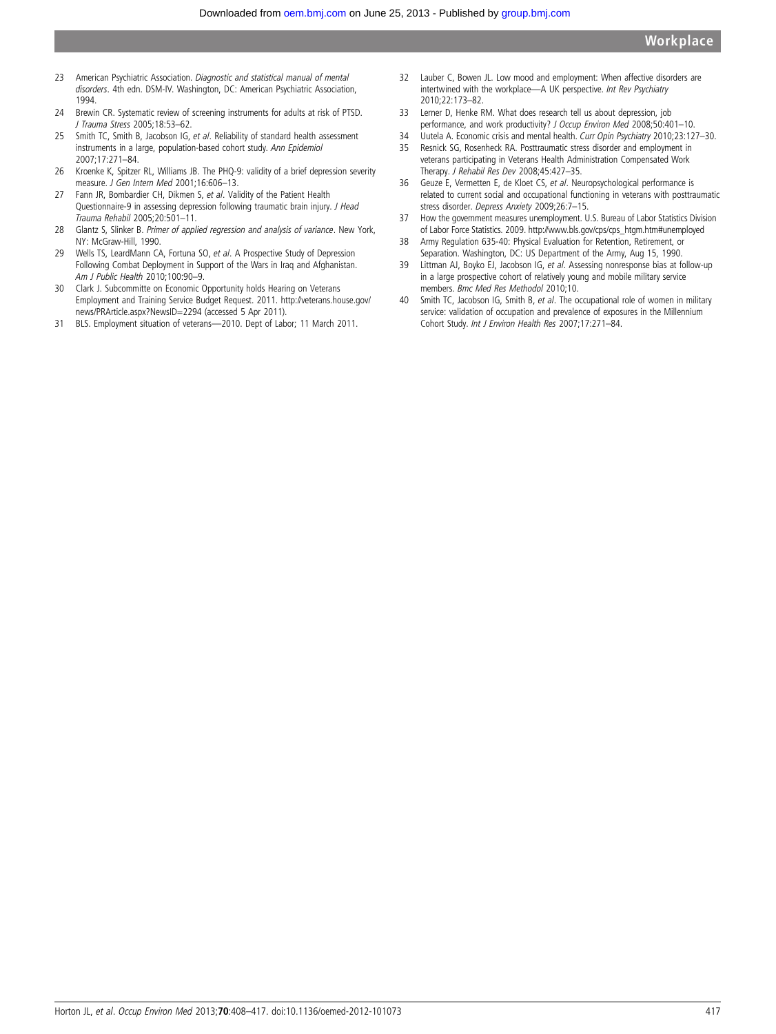- 23 American Psychiatric Association. Diagnostic and statistical manual of mental disorders. 4th edn. DSM-IV. Washington, DC: American Psychiatric Association, 1994.
- 24 Brewin CR. Systematic review of screening instruments for adults at risk of PTSD. J Trauma Stress 2005;18:53–62.
- 25 Smith TC, Smith B, Jacobson IG, et al. Reliability of standard health assessment instruments in a large, population-based cohort study. Ann Epidemiol 2007;17:271–84.
- 26 Kroenke K, Spitzer RL, Williams JB. The PHQ-9: validity of a brief depression severity measure. J Gen Intern Med 2001;16:606–13.
- 27 Fann JR, Bombardier CH, Dikmen S, et al. Validity of the Patient Health Questionnaire-9 in assessing depression following traumatic brain injury. J Head Trauma Rehabil 2005;20:501–11.
- 28 Glantz S, Slinker B. Primer of applied regression and analysis of variance. New York, NY: McGraw-Hill, 1990.
- 29 Wells TS, LeardMann CA, Fortuna SO, et al. A Prospective Study of Depression Following Combat Deployment in Support of the Wars in Iraq and Afghanistan. Am J Public Health 2010;100:90–9.
- 30 Clark J. Subcommitte on Economic Opportunity holds Hearing on Veterans Employment and Training Service Budget Request. 2011. http://veterans.house.gov/ news/PRArticle.aspx?NewsID=2294 (accessed 5 Apr 2011).
- 31 BLS. Employment situation of veterans—2010. Dept of Labor; 11 March 2011.
- 32 Lauber C, Bowen JL. Low mood and employment: When affective disorders are intertwined with the workplace-A UK perspective. Int Rev Psychiatry 2010;22:173–82.
- 33 Lerner D, Henke RM. What does research tell us about depression, job performance, and work productivity? J Occup Environ Med 2008;50:401-10.
- 34 Uutela A. Economic crisis and mental health. Curr Opin Psychiatry 2010;23:127-30.
- 35 Resnick SG, Rosenheck RA. Posttraumatic stress disorder and employment in veterans participating in Veterans Health Administration Compensated Work Therapy. J Rehabil Res Dev 2008;45:427–35.
- 36 Geuze E, Vermetten E, de Kloet CS, et al. Neuropsychological performance is related to current social and occupational functioning in veterans with posttraumatic stress disorder. Depress Anxiety 2009;26:7–15.
- 37 How the government measures unemployment. U.S. Bureau of Labor Statistics Division of Labor Force Statistics. 2009. [http://www.bls.gov/cps/cps\\_htgm.htm#unemployed](http://www.bls.gov/cps/cps_htgm.htm#unemployed)
- 38 Army Regulation 635-40: Physical Evaluation for Retention, Retirement, or Separation. Washington, DC: US Department of the Army, Aug 15, 1990.
- 39 Littman AJ, Boyko EJ, Jacobson IG, et al. Assessing nonresponse bias at follow-up in a large prospective cohort of relatively young and mobile military service members. Bmc Med Res Methodol 2010;10.
- 40 Smith TC, Jacobson IG, Smith B, et al. The occupational role of women in military service: validation of occupation and prevalence of exposures in the Millennium Cohort Study. Int J Environ Health Res 2007;17:271–84.